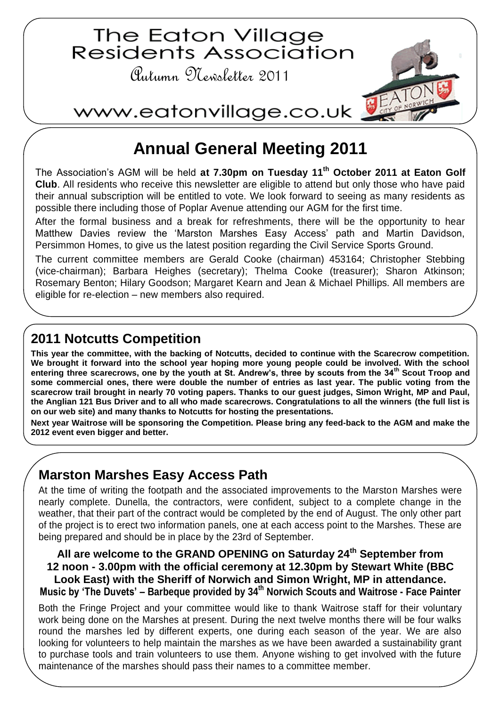

# **Annual General Meeting 2011**

The Association's AGM will be held **at 7.30pm on Tuesday 11th October 2011 at Eaton Golf Club**. All residents who receive this newsletter are eligible to attend but only those who have paid their annual subscription will be entitled to vote. We look forward to seeing as many residents as possible there including those of Poplar Avenue attending our AGM for the first time.

After the formal business and a break for refreshments, there will be the opportunity to hear Matthew Davies review the 'Marston Marshes Easy Access' path and Martin Davidson, Persimmon Homes, to give us the latest position regarding the Civil Service Sports Ground.

The current committee members are Gerald Cooke (chairman) 453164; Christopher Stebbing (vice-chairman); Barbara Heighes (secretary); Thelma Cooke (treasurer); Sharon Atkinson; Rosemary Benton; Hilary Goodson; Margaret Kearn and Jean & Michael Phillips. All members are eligible for re-election – new members also required.

### **2011 Notcutts Competition**

**This year the committee, with the backing of Notcutts, decided to continue with the Scarecrow competition. We brought it forward into the school year hoping more young people could be involved. With the school entering three scarecrows, one by the youth at St. Andrew's, three by scouts from the 34th Scout Troop and some commercial ones, there were double the number of entries as last year. The public voting from the scarecrow trail brought in nearly 70 voting papers. Thanks to our guest judges, Simon Wright, MP and Paul, the Anglian 121 Bus Driver and to all who made scarecrows. Congratulations to all the winners (the full list is on our web site) and many thanks to Notcutts for hosting the presentations.**

**Next year Waitrose will be sponsoring the Competition. Please bring any feed-back to the AGM and make the 2012 event even bigger and better.** 

## **Marston Marshes Easy Access Path**

At the time of writing the footpath and the associated improvements to the Marston Marshes were nearly complete. Dunella, the contractors, were confident, subject to a complete change in the weather, that their part of the contract would be completed by the end of August. The only other part of the project is to erect two information panels, one at each access point to the Marshes. These are being prepared and should be in place by the 23rd of September.

**All are welcome to the GRAND OPENING on Saturday 24th September from 12 noon - 3.00pm with the official ceremony at 12.30pm by Stewart White (BBC Look East) with the Sheriff of Norwich and Simon Wright, MP in attendance. Music by 'The Duvets' – Barbeque provided by 34th Norwich Scouts and Waitrose - Face Painter**

Both the Fringe Project and your committee would like to thank Waitrose staff for their voluntary work being done on the Marshes at present. During the next twelve months there will be four walks round the marshes led by different experts, one during each season of the year. We are also looking for volunteers to help maintain the marshes as we have been awarded a sustainability grant to purchase tools and train volunteers to use them. Anyone wishing to get involved with the future maintenance of the marshes should pass their names to a committee member.